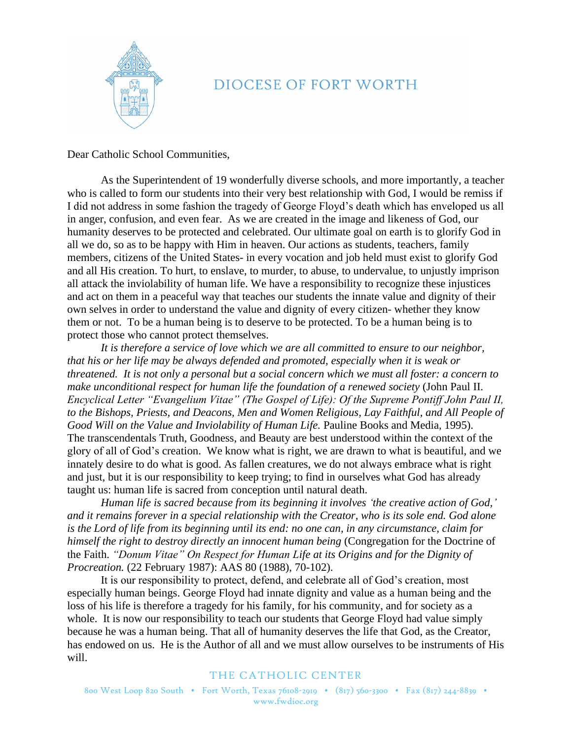

## DIOCESE OF FORT WORTH

Dear Catholic School Communities,

As the Superintendent of 19 wonderfully diverse schools, and more importantly, a teacher who is called to form our students into their very best relationship with God, I would be remiss if I did not address in some fashion the tragedy of George Floyd's death which has enveloped us all in anger, confusion, and even fear. As we are created in the image and likeness of God, our humanity deserves to be protected and celebrated. Our ultimate goal on earth is to glorify God in all we do, so as to be happy with Him in heaven. Our actions as students, teachers, family members, citizens of the United States- in every vocation and job held must exist to glorify God and all His creation. To hurt, to enslave, to murder, to abuse, to undervalue, to unjustly imprison all attack the inviolability of human life. We have a responsibility to recognize these injustices and act on them in a peaceful way that teaches our students the innate value and dignity of their own selves in order to understand the value and dignity of every citizen- whether they know them or not. To be a human being is to deserve to be protected. To be a human being is to protect those who cannot protect themselves.

*It is therefore a service of love which we are all committed to ensure to our neighbor, that his or her life may be always defended and promoted, especially when it is weak or threatened. It is not only a personal but a social concern which we must all foster: a concern to make unconditional respect for human life the foundation of a renewed society (John Paul II. Encyclical Letter "Evangelium Vitae" (The Gospel of Life): Of the Supreme Pontiff John Paul II, to the Bishops, Priests, and Deacons, Men and Women Religious, Lay Faithful, and All People of Good Will on the Value and Inviolability of Human Life.* Pauline Books and Media, 1995). The transcendentals Truth, Goodness, and Beauty are best understood within the context of the glory of all of God's creation. We know what is right, we are drawn to what is beautiful, and we innately desire to do what is good. As fallen creatures, we do not always embrace what is right and just, but it is our responsibility to keep trying; to find in ourselves what God has already taught us: human life is sacred from conception until natural death.

*Human life is sacred because from its beginning it involves 'the creative action of God,' and it remains forever in a special relationship with the Creator, who is its sole end. God alone is the Lord of life from its beginning until its end: no one can, in any circumstance, claim for himself the right to destroy directly an innocent human being* (Congregation for the Doctrine of the Faith. *"Donum Vitae" On Respect for Human Life at its Origins and for the Dignity of Procreation.* (22 February 1987): AAS 80 (1988), 70-102).

It is our responsibility to protect, defend, and celebrate all of God's creation, most especially human beings. George Floyd had innate dignity and value as a human being and the loss of his life is therefore a tragedy for his family, for his community, and for society as a whole. It is now our responsibility to teach our students that George Floyd had value simply because he was a human being. That all of humanity deserves the life that God, as the Creator, has endowed on us. He is the Author of all and we must allow ourselves to be instruments of His will.

## THE CATHOLIC CENTER